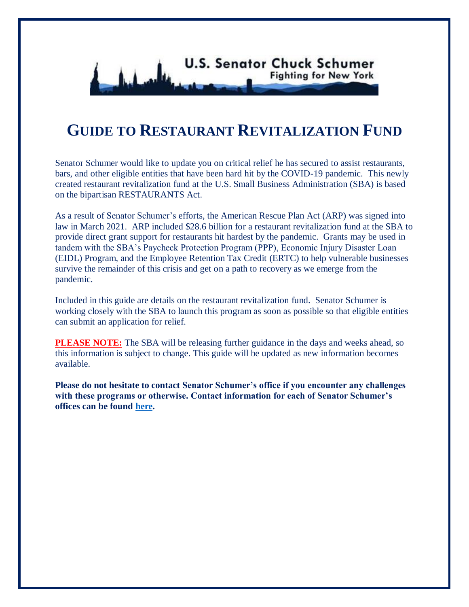

## **GUIDE TO RESTAURANT REVITALIZATION FUND**

Senator Schumer would like to update you on critical relief he has secured to assist restaurants, bars, and other eligible entities that have been hard hit by the COVID-19 pandemic. This newly created restaurant revitalization fund at the U.S. Small Business Administration (SBA) is based on the bipartisan RESTAURANTS Act.

As a result of Senator Schumer's efforts, the American Rescue Plan Act (ARP) was signed into law in March 2021. ARP included \$28.6 billion for a restaurant revitalization fund at the SBA to provide direct grant support for restaurants hit hardest by the pandemic. Grants may be used in tandem with the SBA's Paycheck Protection Program (PPP), Economic Injury Disaster Loan (EIDL) Program, and the Employee Retention Tax Credit (ERTC) to help vulnerable businesses survive the remainder of this crisis and get on a path to recovery as we emerge from the pandemic.

Included in this guide are details on the restaurant revitalization fund. Senator Schumer is working closely with the SBA to launch this program as soon as possible so that eligible entities can submit an application for relief.

**PLEASE NOTE:** The SBA will be releasing further guidance in the days and weeks ahead, so this information is subject to change. This guide will be updated as new information becomes available.

**Please do not hesitate to contact Senator Schumer's office if you encounter any challenges with these programs or otherwise. Contact information for each of Senator Schumer's offices can be found [here.](https://www.schumer.senate.gov/contact/office-locations)**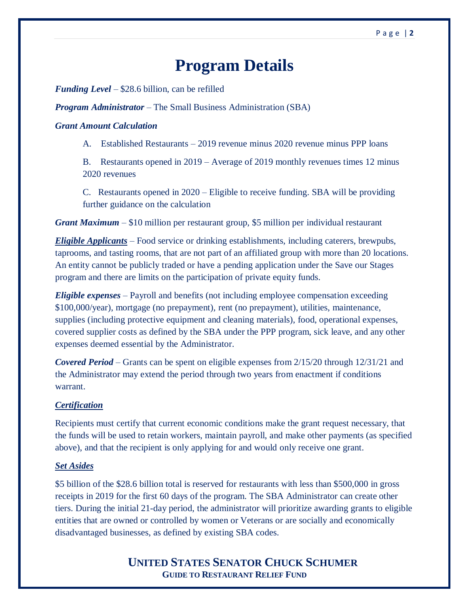# **Program Details**

*Funding Level* – \$28.6 billion, can be refilled

*Program Administrator* – The Small Business Administration (SBA)

#### *Grant Amount Calculation*

A. Established Restaurants – 2019 revenue minus 2020 revenue minus PPP loans

B. Restaurants opened in 2019 – Average of 2019 monthly revenues times 12 minus 2020 revenues

C. Restaurants opened in 2020 – Eligible to receive funding. SBA will be providing further guidance on the calculation

*Grant Maximum* – \$10 million per restaurant group, \$5 million per individual restaurant

*Eligible Applicants –* Food service or drinking establishments, including caterers, brewpubs, taprooms, and tasting rooms, that are not part of an affiliated group with more than 20 locations. An entity cannot be publicly traded or have a pending application under the Save our Stages program and there are limits on the participation of private equity funds.

*Eligible expenses* – Payroll and benefits (not including employee compensation exceeding \$100,000/year), mortgage (no prepayment), rent (no prepayment), utilities, maintenance, supplies (including protective equipment and cleaning materials), food, operational expenses, covered supplier costs as defined by the SBA under the PPP program, sick leave, and any other expenses deemed essential by the Administrator.

*Covered Period* – Grants can be spent on eligible expenses from 2/15/20 through 12/31/21 and the Administrator may extend the period through two years from enactment if conditions warrant.

#### *Certification*

Recipients must certify that current economic conditions make the grant request necessary, that the funds will be used to retain workers, maintain payroll, and make other payments (as specified above), and that the recipient is only applying for and would only receive one grant.

#### *Set Asides*

\$5 billion of the \$28.6 billion total is reserved for restaurants with less than \$500,000 in gross receipts in 2019 for the first 60 days of the program. The SBA Administrator can create other tiers. During the initial 21-day period, the administrator will prioritize awarding grants to eligible entities that are owned or controlled by women or Veterans or are socially and economically disadvantaged businesses, as defined by existing SBA codes.

> **UNITED STATES SENATOR CHUCK SCHUMER GUIDE TO RESTAURANT RELIEF FUND**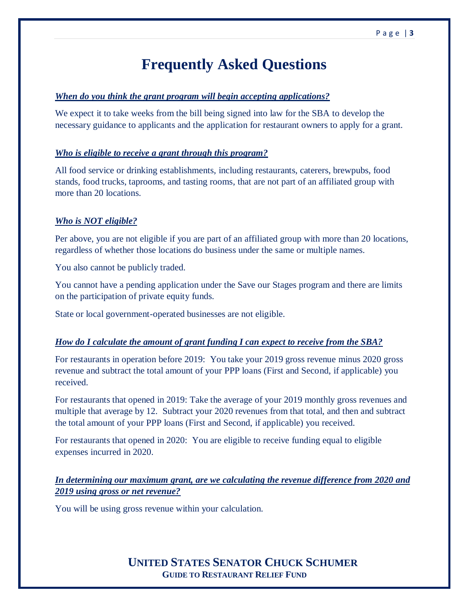## **Frequently Asked Questions**

#### *When do you think the grant program will begin accepting applications?*

We expect it to take weeks from the bill being signed into law for the SBA to develop the necessary guidance to applicants and the application for restaurant owners to apply for a grant.

#### *Who is eligible to receive a grant through this program?*

All food service or drinking establishments, including restaurants, caterers, brewpubs, food stands, food trucks, taprooms, and tasting rooms, that are not part of an affiliated group with more than 20 locations.

#### *Who is NOT eligible?*

Per above, you are not eligible if you are part of an affiliated group with more than 20 locations, regardless of whether those locations do business under the same or multiple names.

You also cannot be publicly traded.

You cannot have a pending application under the Save our Stages program and there are limits on the participation of private equity funds.

State or local government-operated businesses are not eligible.

#### *How do I calculate the amount of grant funding I can expect to receive from the SBA?*

For restaurants in operation before 2019: You take your 2019 gross revenue minus 2020 gross revenue and subtract the total amount of your PPP loans (First and Second, if applicable) you received.

For restaurants that opened in 2019: Take the average of your 2019 monthly gross revenues and multiple that average by 12. Subtract your 2020 revenues from that total, and then and subtract the total amount of your PPP loans (First and Second, if applicable) you received.

For restaurants that opened in 2020: You are eligible to receive funding equal to eligible expenses incurred in 2020.

## *In determining our maximum grant, are we calculating the revenue difference from 2020 and 2019 using gross or net revenue?*

You will be using gross revenue within your calculation.

 **UNITED STATES SENATOR CHUCK SCHUMER GUIDE TO RESTAURANT RELIEF FUND**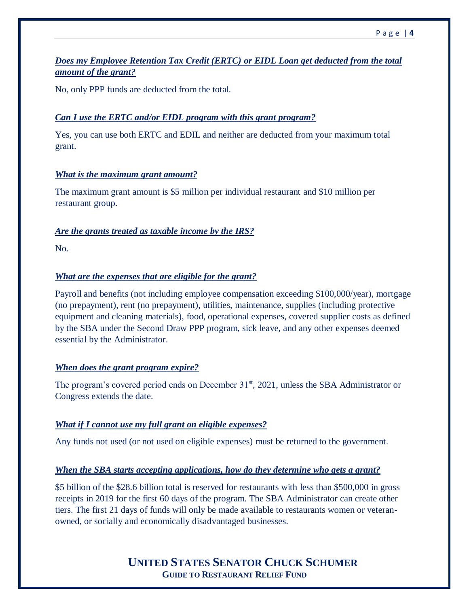## *Does my Employee Retention Tax Credit (ERTC) or EIDL Loan get deducted from the total amount of the grant?*

No, only PPP funds are deducted from the total.

#### *Can I use the ERTC and/or EIDL program with this grant program?*

Yes, you can use both ERTC and EDIL and neither are deducted from your maximum total grant.

#### *What is the maximum grant amount?*

The maximum grant amount is \$5 million per individual restaurant and \$10 million per restaurant group.

#### *Are the grants treated as taxable income by the IRS?*

No.

#### *What are the expenses that are eligible for the grant?*

Payroll and benefits (not including employee compensation exceeding \$100,000/year), mortgage (no prepayment), rent (no prepayment), utilities, maintenance, supplies (including protective equipment and cleaning materials), food, operational expenses, covered supplier costs as defined by the SBA under the Second Draw PPP program, sick leave, and any other expenses deemed essential by the Administrator.

## *When does the grant program expire?*

The program's covered period ends on December 31<sup>st</sup>, 2021, unless the SBA Administrator or Congress extends the date.

## *What if I cannot use my full grant on eligible expenses?*

Any funds not used (or not used on eligible expenses) must be returned to the government.

## *When the SBA starts accepting applications, how do they determine who gets a grant?*

\$5 billion of the \$28.6 billion total is reserved for restaurants with less than \$500,000 in gross receipts in 2019 for the first 60 days of the program. The SBA Administrator can create other tiers. The first 21 days of funds will only be made available to restaurants women or veteranowned, or socially and economically disadvantaged businesses.

## **UNITED STATES SENATOR CHUCK SCHUMER GUIDE TO RESTAURANT RELIEF FUND**